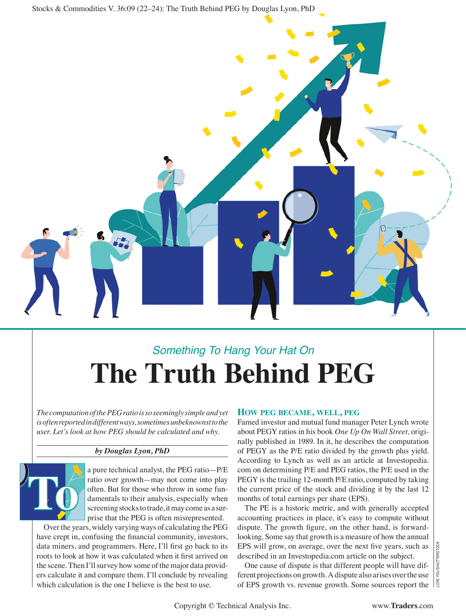Stocks & Commodities V. 36:09 (22–24): The Truth Behind PEG by Douglas Lyon, PhD



# *Something To Hang Your Hat On* **The Truth Behind PEG**

*The computation of the PEG ratio is so seemingly simple and yet is often reported in different ways, sometimes unbeknownst to the user. Let's look at how PEG should be calculated and why.*

## *by Douglas Lyon, PhD*

**To**

a pure technical analyst, the PEG ratio—P/E ratio over growth—may not come into play often. But for those who throw in some fundamentals to their analysis, especially when screening stocks to trade, it may come as a surprise that the PEG is often misrepresented.

Over the years, widely varying ways of calculating the PEG have crept in, confusing the fnancial community, investors, data miners, and programmers. Here, I'll frst go back to its roots to look at how it was calculated when it frst arrived on the scene. Then I'll survey how some of the major data providers calculate it and compare them. I'll conclude by revealing which calculation is the one I believe is the best to use.

## **HOW PEG BECAME, WELL, PEG**

Famed investor and mutual fund manager Peter Lynch wrote about PEGY ratios in his book *One Up On Wall Street,* originally published in 1989. In it, he describes the computation of PEGY as the P/E ratio divided by the growth plus yield. According to Lynch as well as an article at Investopedia. com on determining P/E and PEG ratios, the P/E used in the PEGY is the trailing 12-month P/E ratio, computed by taking the current price of the stock and dividing it by the last 12 months of total earnings per share (EPS).

The PE is a historic metric, and with generally accepted accounting practices in place, it's easy to compute without dispute. The growth fgure, on the other hand, is forwardlooking. Some say that growth is a measure of how the annual EPS will grow, on average, over the next fve years, such as described in an Investopedia.com article on the subject.

One cause of dispute is that different people will have different projections on growth. A dispute also arises over the use of EPS growth vs. revenue growth. Some sources report the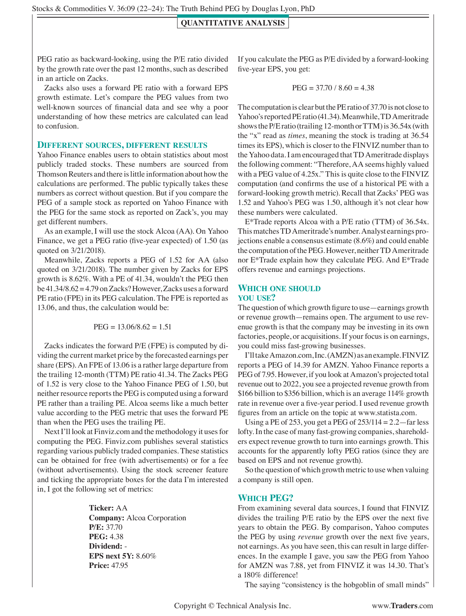### **QUANTITATIVE ANALYSIS**

PEG ratio as backward-looking, using the P/E ratio divided by the growth rate over the past 12 months, such as described in an article on Zacks.

Zacks also uses a forward PE ratio with a forward EPS growth estimate. Let's compare the PEG values from two well-known sources of fnancial data and see why a poor understanding of how these metrics are calculated can lead to confusion.

#### **DIFFERENT SOURCES, DIFFERENT RESULTS**

Yahoo Finance enables users to obtain statistics about most publicly traded stocks. These numbers are sourced from Thomson Reuters and there is little information about how the calculations are performed. The public typically takes these numbers as correct without question. But if you compare the PEG of a sample stock as reported on Yahoo Finance with the PEG for the same stock as reported on Zack's, you may get different numbers.

As an example, I will use the stock Alcoa (AA). On Yahoo Finance, we get a PEG ratio (fve-year expected) of 1.50 (as quoted on 3/21/2018).

Meanwhile, Zacks reports a PEG of 1.52 for AA (also quoted on 3/21/2018). The number given by Zacks for EPS growth is 8.62%. With a PE of 41.34, wouldn't the PEG then be  $41.34/8.62 = 4.79$  on Zacks? However, Zacks uses a forward PE ratio (FPE) in its PEG calculation. The FPE is reported as 13.06, and thus, the calculation would be:

$$
PEG = 13.06/8.62 = 1.51
$$

Zacks indicates the forward P/E (FPE) is computed by dividing the current market price by the forecasted earnings per share (EPS). An FPE of 13.06 is a rather large departure from the trailing 12-month (TTM) PE ratio 41.34. The Zacks PEG of 1.52 is very close to the Yahoo Finance PEG of 1.50, but neither resource reports the PEG is computed using a forward PE rather than a trailing PE. Alcoa seems like a much better value according to the PEG metric that uses the forward PE than when the PEG uses the trailing PE.

Next I'll look at Finviz.com and the methodology it uses for computing the PEG. Finviz.com publishes several statistics regarding various publicly traded companies. These statistics can be obtained for free (with advertisements) or for a fee (without advertisements). Using the stock screener feature and ticking the appropriate boxes for the data I'm interested in, I got the following set of metrics:

> **Ticker:** AA **Company:** Alcoa Corporation **P/E:** 37.70 **PEG:** 4.38 **Dividend:** - **EPS next 5Y:** 8.60% **Price:** 47.95

If you calculate the PEG as P/E divided by a forward-looking fve-year EPS, you get:

$$
PEG = 37.70 / 8.60 = 4.38
$$

The computation is clear but the PE ratio of 37.70 is not close to Yahoo's reported PE ratio (41.34). Meanwhile, TD Ameritrade shows the P/E ratio (trailing 12-month or TTM) is 36.54x (with the "x" read as *times*, meaning the stock is trading at 36.54 times its EPS), which is closer to the FINVIZ number than to the Yahoo data. I am encouraged that TD Ameritrade displays the following comment: "Therefore, AA seems highly valued with a PEG value of 4.25x." This is quite close to the FINVIZ computation (and confrms the use of a historical PE with a forward-looking growth metric). Recall that Zacks' PEG was 1.52 and Yahoo's PEG was 1.50, although it's not clear how these numbers were calculated.

E\*Trade reports Alcoa with a P/E ratio (TTM) of 36.54x. This matches TD Ameritrade's number. Analyst earnings projections enable a consensus estimate (8.6%) and could enable the computation of the PEG. However, neither TD Ameritrade nor E\*Trade explain how they calculate PEG. And E\*Trade offers revenue and earnings projections.

## **WHICH ONE SHOULD YOU USE?**

The question of which growth fgure to use—earnings growth or revenue growth—remains open. The argument to use revenue growth is that the company may be investing in its own factories, people, or acquisitions. If your focus is on earnings, you could miss fast-growing businesses.

I'll take Amazon.com, Inc. (AMZN) as an example. FINVIZ reports a PEG of 14.39 for AMZN. Yahoo Finance reports a PEG of 7.95. However, if you look at Amazon's projected total revenue out to 2022, you see a projected revenue growth from \$166 billion to \$356 billion, which is an average 114% growth rate in revenue over a fve-year period. I used revenue growth fgures from an article on the topic at www.statista.com.

Using a PE of 253, you get a PEG of  $253/114 = 2.2$ —far less lofty. In the case of many fast-growing companies, shareholders expect revenue growth to turn into earnings growth. This accounts for the apparently lofty PEG ratios (since they are based on EPS and not revenue growth).

So the question of which growth metric to use when valuing a company is still open.

## **WHICH PEG?**

From examining several data sources, I found that FINVIZ divides the trailing P/E ratio by the EPS over the next fve years to obtain the PEG. By comparison, Yahoo computes the PEG by using *revenue* growth over the next five years, not earnings. As you have seen, this can result in large differences. In the example I gave, you saw the PEG from Yahoo for AMZN was 7.88, yet from FINVIZ it was 14.30. That's a 180% difference!

The saying "consistency is the hobgoblin of small minds"